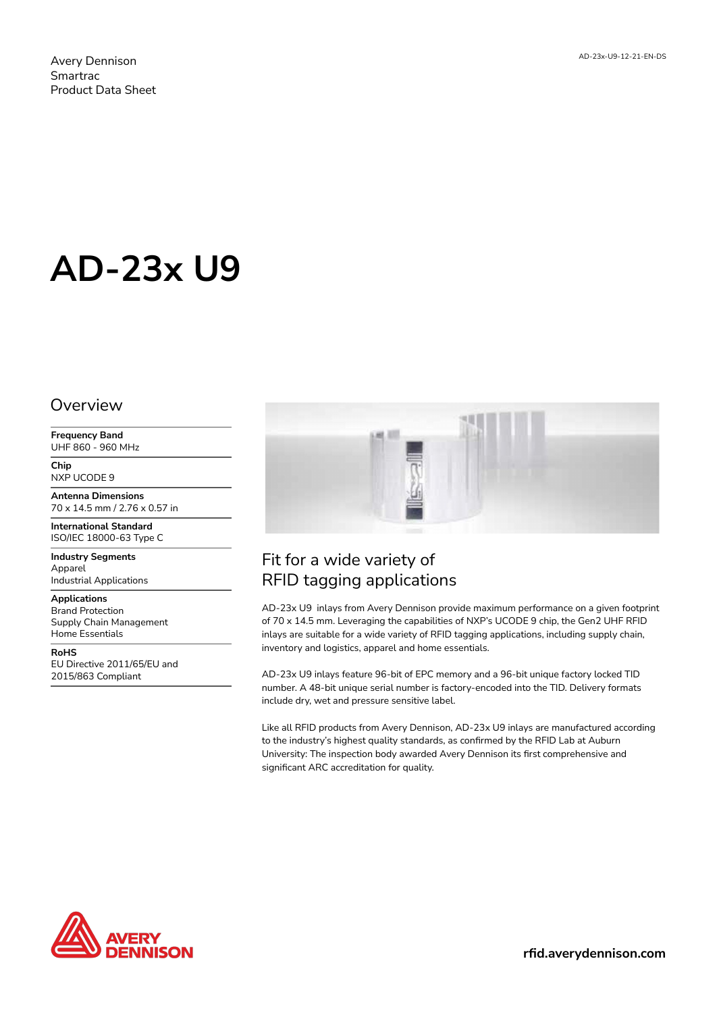Avery Dennison Smartrac Product Data Sheet

# **AD-23x U9**

#### **Overview**

**Frequency Band** UHF 860 - 960 MHz

**Chip** NXP UCODE 9

**Antenna Dimensions** 70 x 14.5 mm / 2.76 x 0.57 in

**International Standard** ISO/IEC 18000-63 Type C

**Industry Segments** Apparel Industrial Applications

**Applications** Brand Protection Supply Chain Management Home Essentials

**RoHS** EU Directive 2011/65/EU and 2015/863 Compliant



## Fit for a wide variety of RFID tagging applications

AD-23x U9 inlays from Avery Dennison provide maximum performance on a given footprint of 70 x 14.5 mm. Leveraging the capabilities of NXP's UCODE 9 chip, the Gen2 UHF RFID inlays are suitable for a wide variety of RFID tagging applications, including supply chain, inventory and logistics, apparel and home essentials.

AD-23x U9 inlays feature 96-bit of EPC memory and a 96-bit unique factory locked TID number. A 48-bit unique serial number is factory-encoded into the TID. Delivery formats include dry, wet and pressure sensitive label.

Like all RFID products from Avery Dennison, AD-23x U9 inlays are manufactured according to the industry's highest quality standards, as confirmed by the RFID Lab at Auburn University: The inspection body awarded Avery Dennison its first comprehensive and significant ARC accreditation for quality.